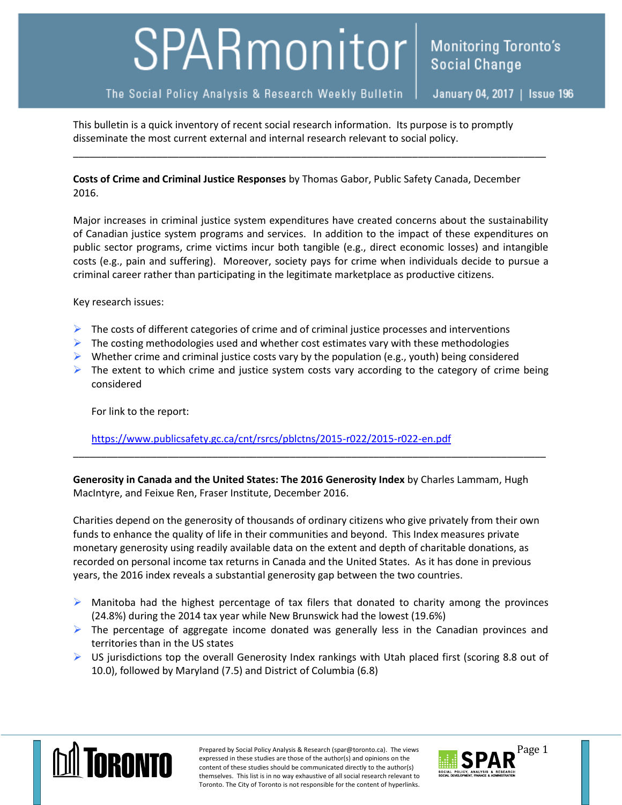## SPARmonitor

**Monitoring Toronto's** 

This bulletin is a quick inventory of recent social research information. Its purpose is to promptly disseminate the most current external and internal research relevant to social policy.

**Costs of Crime and Criminal Justice Responses** by Thomas Gabor, Public Safety Canada, December 2016.

\_\_\_\_\_\_\_\_\_\_\_\_\_\_\_\_\_\_\_\_\_\_\_\_\_\_\_\_\_\_\_\_\_\_\_\_\_\_\_\_\_\_\_\_\_\_\_\_\_\_\_\_\_\_\_\_\_\_\_\_\_\_\_\_\_\_\_\_\_\_\_\_\_\_\_\_\_\_\_\_\_\_\_\_\_

Major increases in criminal justice system expenditures have created concerns about the sustainability of Canadian justice system programs and services. In addition to the impact of these expenditures on public sector programs, crime victims incur both tangible (e.g., direct economic losses) and intangible costs (e.g., pain and suffering). Moreover, society pays for crime when individuals decide to pursue a criminal career rather than participating in the legitimate marketplace as productive citizens.

Key research issues:

- $\triangleright$  The costs of different categories of crime and of criminal justice processes and interventions
- $\triangleright$  The costing methodologies used and whether cost estimates vary with these methodologies
- $\triangleright$  Whether crime and criminal justice costs vary by the population (e.g., youth) being considered
- $\triangleright$  The extent to which crime and justice system costs vary according to the category of crime being considered

For link to the report:

<https://www.publicsafety.gc.ca/cnt/rsrcs/pblctns/2015-r022/2015-r022-en.pdf>

**Generosity in Canada and the United States: The 2016 Generosity Index** by Charles Lammam, Hugh MacIntyre, and Feixue Ren, Fraser Institute, December 2016.

\_\_\_\_\_\_\_\_\_\_\_\_\_\_\_\_\_\_\_\_\_\_\_\_\_\_\_\_\_\_\_\_\_\_\_\_\_\_\_\_\_\_\_\_\_\_\_\_\_\_\_\_\_\_\_\_\_\_\_\_\_\_\_\_\_\_\_\_\_\_\_\_\_\_\_\_\_\_\_\_\_\_\_\_\_

Charities depend on the generosity of thousands of ordinary citizens who give privately from their own funds to enhance the quality of life in their communities and beyond. This Index measures private monetary generosity using readily available data on the extent and depth of charitable donations, as recorded on personal income tax returns in Canada and the United States. As it has done in previous years, the 2016 index reveals a substantial generosity gap between the two countries.

- $\triangleright$  Manitoba had the highest percentage of tax filers that donated to charity among the provinces (24.8%) during the 2014 tax year while New Brunswick had the lowest (19.6%)
- $\triangleright$  The percentage of aggregate income donated was generally less in the Canadian provinces and territories than in the US states
- $\triangleright$  US jurisdictions top the overall Generosity Index rankings with Utah placed first (scoring 8.8 out of 10.0), followed by Maryland (7.5) and District of Columbia (6.8)



Prepared by Social Policy Analysis & Research (spar@toronto.ca). The views Page 1 expressed in these studies are those of the author(s) and opinions on the content of these studies should be communicated directly to the author(s) themselves. This list is in no way exhaustive of all social research relevant to Toronto. The City of Toronto is not responsible for the content of hyperlinks.

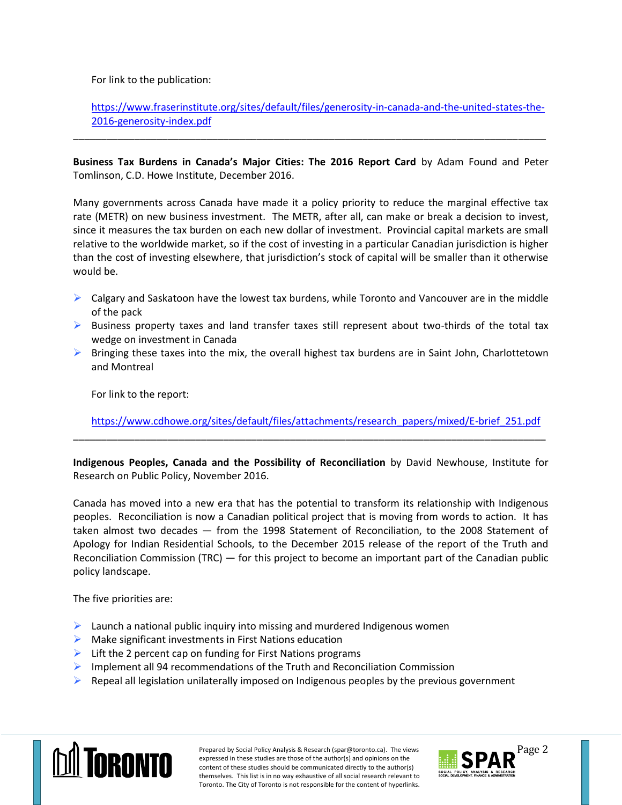For link to the publication:

## [https://www.fraserinstitute.org/sites/default/files/generosity-in-canada-and-the-united-states-the-](https://www.fraserinstitute.org/sites/default/files/generosity-in-canada-and-the-united-states-the-2016-generosity-index.pdf)[2016-generosity-index.pdf](https://www.fraserinstitute.org/sites/default/files/generosity-in-canada-and-the-united-states-the-2016-generosity-index.pdf)

**Business Tax Burdens in Canada's Major Cities: The 2016 Report Card** by Adam Found and Peter Tomlinson, C.D. Howe Institute, December 2016.

\_\_\_\_\_\_\_\_\_\_\_\_\_\_\_\_\_\_\_\_\_\_\_\_\_\_\_\_\_\_\_\_\_\_\_\_\_\_\_\_\_\_\_\_\_\_\_\_\_\_\_\_\_\_\_\_\_\_\_\_\_\_\_\_\_\_\_\_\_\_\_\_\_\_\_\_\_\_\_\_\_\_\_\_\_

Many governments across Canada have made it a policy priority to reduce the marginal effective tax rate (METR) on new business investment. The METR, after all, can make or break a decision to invest, since it measures the tax burden on each new dollar of investment. Provincial capital markets are small relative to the worldwide market, so if the cost of investing in a particular Canadian jurisdiction is higher than the cost of investing elsewhere, that jurisdiction's stock of capital will be smaller than it otherwise would be.

- $\triangleright$  Calgary and Saskatoon have the lowest tax burdens, while Toronto and Vancouver are in the middle of the pack
- $\triangleright$  Business property taxes and land transfer taxes still represent about two-thirds of the total tax wedge on investment in Canada
- $\triangleright$  Bringing these taxes into the mix, the overall highest tax burdens are in Saint John, Charlottetown and Montreal

For link to the report:

[https://www.cdhowe.org/sites/default/files/attachments/research\\_papers/mixed/E-brief\\_251.pdf](https://www.cdhowe.org/sites/default/files/attachments/research_papers/mixed/E-brief_251.pdf)

**Indigenous Peoples, Canada and the Possibility of Reconciliation** by David Newhouse, Institute for Research on Public Policy, November 2016.

\_\_\_\_\_\_\_\_\_\_\_\_\_\_\_\_\_\_\_\_\_\_\_\_\_\_\_\_\_\_\_\_\_\_\_\_\_\_\_\_\_\_\_\_\_\_\_\_\_\_\_\_\_\_\_\_\_\_\_\_\_\_\_\_\_\_\_\_\_\_\_\_\_\_\_\_\_\_\_\_\_\_\_\_\_

Canada has moved into a new era that has the potential to transform its relationship with Indigenous peoples. Reconciliation is now a Canadian political project that is moving from words to action. It has taken almost two decades — from the 1998 Statement of Reconciliation, to the 2008 Statement of Apology for Indian Residential Schools, to the December 2015 release of the report of the Truth and Reconciliation Commission (TRC) — for this project to become an important part of the Canadian public policy landscape.

The five priorities are:

- $\blacktriangleright$  Launch a national public inquiry into missing and murdered Indigenous women
- $\triangleright$  Make significant investments in First Nations education
- $\triangleright$  Lift the 2 percent cap on funding for First Nations programs
- $\triangleright$  Implement all 94 recommendations of the Truth and Reconciliation Commission
- $\triangleright$  Repeal all legislation unilaterally imposed on Indigenous peoples by the previous government



Prepared by Social Policy Analysis & Research (spar@toronto.ca). The views Page 2 expressed in these studies are those of the author(s) and opinions on the content of these studies should be communicated directly to the author(s) themselves. This list is in no way exhaustive of all social research relevant to Toronto. The City of Toronto is not responsible for the content of hyperlinks.